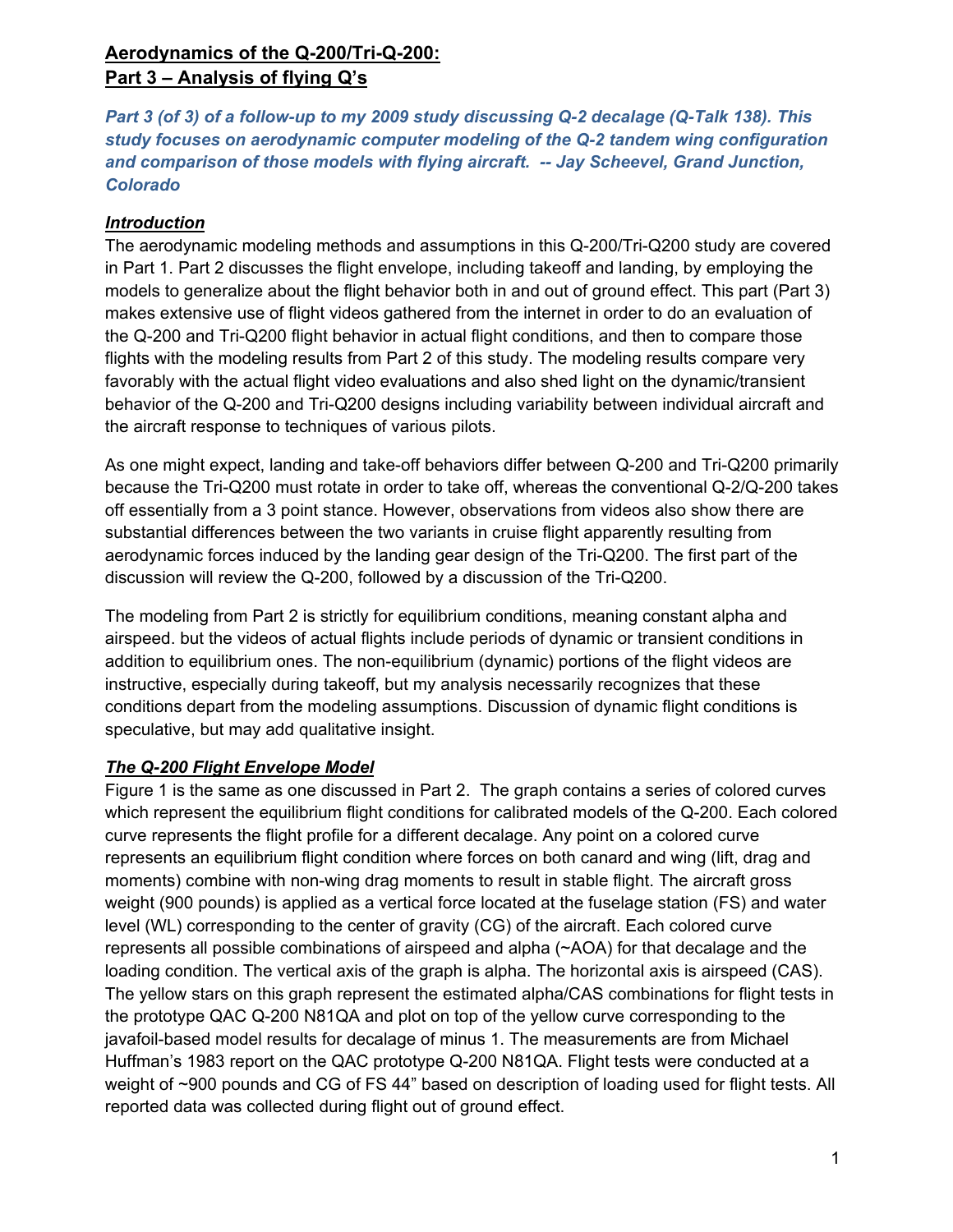# **Aerodynamics of the Q-200/Tri-Q-200: Part 3 – Analysis of flying Q's**

*Part 3 (of 3) of a follow-up to my 2009 study discussing Q-2 decalage (Q-Talk 138). This study focuses on aerodynamic computer modeling of the Q-2 tandem wing configuration and comparison of those models with flying aircraft. -- Jay Scheevel, Grand Junction, Colorado* 

## *Introduction*

The aerodynamic modeling methods and assumptions in this Q-200/Tri-Q200 study are covered in Part 1. Part 2 discusses the flight envelope, including takeoff and landing, by employing the models to generalize about the flight behavior both in and out of ground effect. This part (Part 3) makes extensive use of flight videos gathered from the internet in order to do an evaluation of the Q-200 and Tri-Q200 flight behavior in actual flight conditions, and then to compare those flights with the modeling results from Part 2 of this study. The modeling results compare very favorably with the actual flight video evaluations and also shed light on the dynamic/transient behavior of the Q-200 and Tri-Q200 designs including variability between individual aircraft and the aircraft response to techniques of various pilots.

As one might expect, landing and take-off behaviors differ between Q-200 and Tri-Q200 primarily because the Tri-Q200 must rotate in order to take off, whereas the conventional Q-2/Q-200 takes off essentially from a 3 point stance. However, observations from videos also show there are substantial differences between the two variants in cruise flight apparently resulting from aerodynamic forces induced by the landing gear design of the Tri-Q200. The first part of the discussion will review the Q-200, followed by a discussion of the Tri-Q200.

The modeling from Part 2 is strictly for equilibrium conditions, meaning constant alpha and airspeed. but the videos of actual flights include periods of dynamic or transient conditions in addition to equilibrium ones. The non-equilibrium (dynamic) portions of the flight videos are instructive, especially during takeoff, but my analysis necessarily recognizes that these conditions depart from the modeling assumptions. Discussion of dynamic flight conditions is speculative, but may add qualitative insight.

## *The Q-200 Flight Envelope Model*

Figure 1 is the same as one discussed in Part 2. The graph contains a series of colored curves which represent the equilibrium flight conditions for calibrated models of the Q-200. Each colored curve represents the flight profile for a different decalage. Any point on a colored curve represents an equilibrium flight condition where forces on both canard and wing (lift, drag and moments) combine with non-wing drag moments to result in stable flight. The aircraft gross weight (900 pounds) is applied as a vertical force located at the fuselage station (FS) and water level (WL) corresponding to the center of gravity (CG) of the aircraft. Each colored curve represents all possible combinations of airspeed and alpha (~AOA) for that decalage and the loading condition. The vertical axis of the graph is alpha. The horizontal axis is airspeed (CAS). The yellow stars on this graph represent the estimated alpha/CAS combinations for flight tests in the prototype QAC Q-200 N81QA and plot on top of the yellow curve corresponding to the javafoil-based model results for decalage of minus 1. The measurements are from Michael Huffman's 1983 report on the QAC prototype Q-200 N81QA. Flight tests were conducted at a weight of ~900 pounds and CG of FS 44" based on description of loading used for flight tests. All reported data was collected during flight out of ground effect.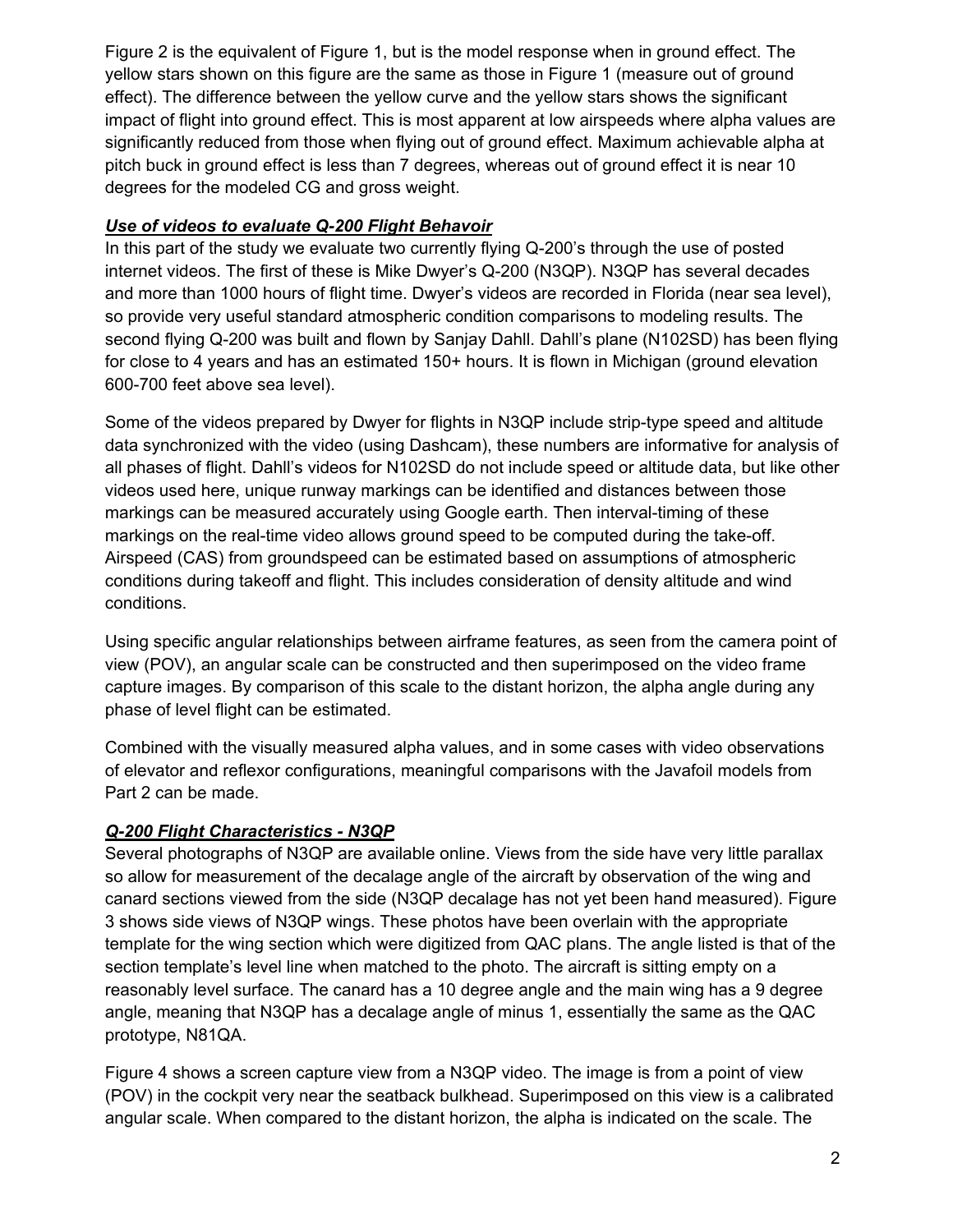Figure 2 is the equivalent of Figure 1, but is the model response when in ground effect. The yellow stars shown on this figure are the same as those in Figure 1 (measure out of ground effect). The difference between the yellow curve and the yellow stars shows the significant impact of flight into ground effect. This is most apparent at low airspeeds where alpha values are significantly reduced from those when flying out of ground effect. Maximum achievable alpha at pitch buck in ground effect is less than 7 degrees, whereas out of ground effect it is near 10 degrees for the modeled CG and gross weight.

### *Use of videos to evaluate Q-200 Flight Behavoir*

In this part of the study we evaluate two currently flying Q-200's through the use of posted internet videos. The first of these is Mike Dwyer's Q-200 (N3QP). N3QP has several decades and more than 1000 hours of flight time. Dwyer's videos are recorded in Florida (near sea level), so provide very useful standard atmospheric condition comparisons to modeling results. The second flying Q-200 was built and flown by Sanjay Dahll. Dahll's plane (N102SD) has been flying for close to 4 years and has an estimated 150+ hours. It is flown in Michigan (ground elevation 600-700 feet above sea level).

Some of the videos prepared by Dwyer for flights in N3QP include strip-type speed and altitude data synchronized with the video (using Dashcam), these numbers are informative for analysis of all phases of flight. Dahll's videos for N102SD do not include speed or altitude data, but like other videos used here, unique runway markings can be identified and distances between those markings can be measured accurately using Google earth. Then interval-timing of these markings on the real-time video allows ground speed to be computed during the take-off. Airspeed (CAS) from groundspeed can be estimated based on assumptions of atmospheric conditions during takeoff and flight. This includes consideration of density altitude and wind conditions.

Using specific angular relationships between airframe features, as seen from the camera point of view (POV), an angular scale can be constructed and then superimposed on the video frame capture images. By comparison of this scale to the distant horizon, the alpha angle during any phase of level flight can be estimated.

Combined with the visually measured alpha values, and in some cases with video observations of elevator and reflexor configurations, meaningful comparisons with the Javafoil models from Part 2 can be made.

## *Q-200 Flight Characteristics - N3QP*

Several photographs of N3QP are available online. Views from the side have very little parallax so allow for measurement of the decalage angle of the aircraft by observation of the wing and canard sections viewed from the side (N3QP decalage has not yet been hand measured). Figure 3 shows side views of N3QP wings. These photos have been overlain with the appropriate template for the wing section which were digitized from QAC plans. The angle listed is that of the section template's level line when matched to the photo. The aircraft is sitting empty on a reasonably level surface. The canard has a 10 degree angle and the main wing has a 9 degree angle, meaning that N3QP has a decalage angle of minus 1, essentially the same as the QAC prototype, N81QA.

Figure 4 shows a screen capture view from a N3QP video. The image is from a point of view (POV) in the cockpit very near the seatback bulkhead. Superimposed on this view is a calibrated angular scale. When compared to the distant horizon, the alpha is indicated on the scale. The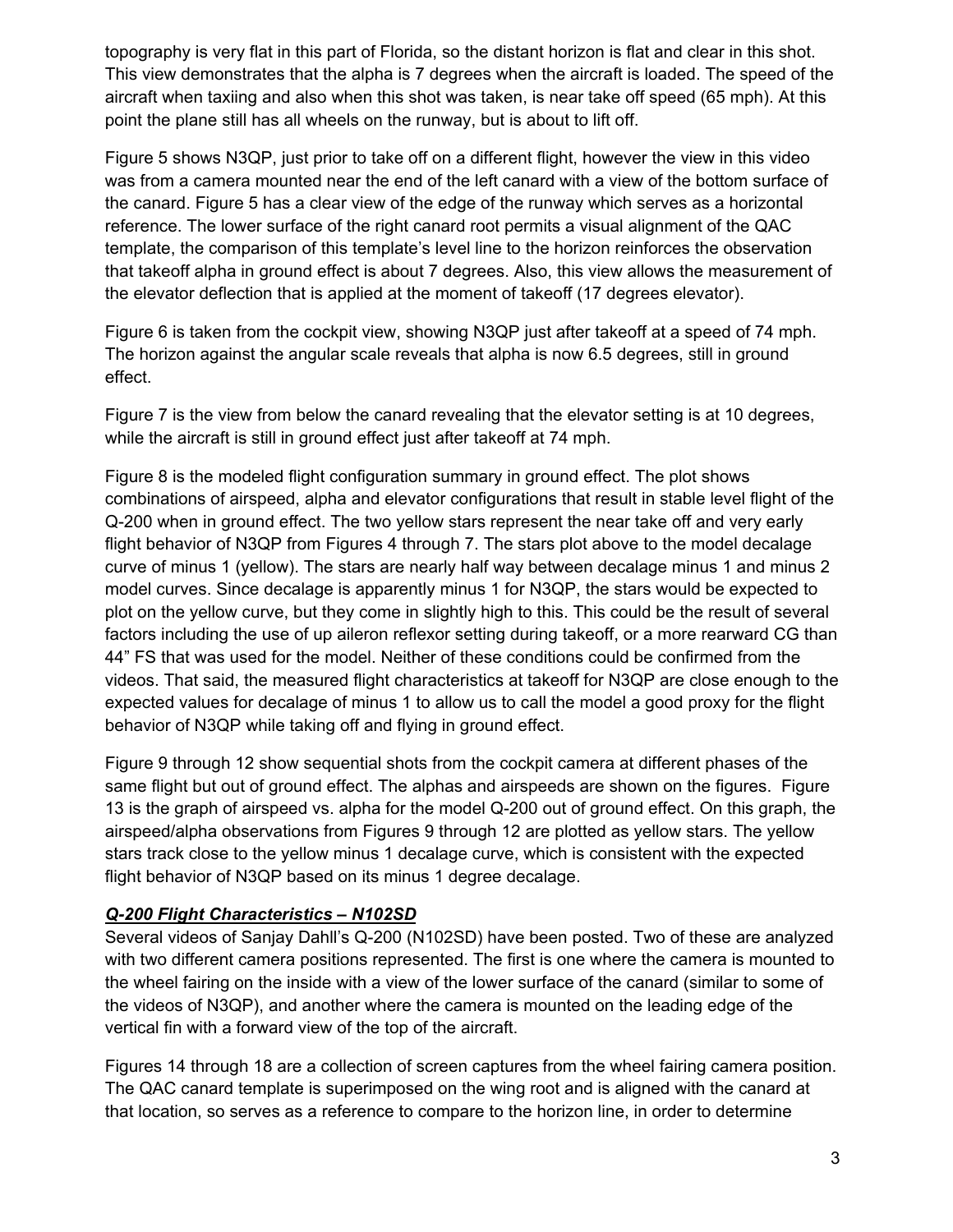topography is very flat in this part of Florida, so the distant horizon is flat and clear in this shot. This view demonstrates that the alpha is 7 degrees when the aircraft is loaded. The speed of the aircraft when taxiing and also when this shot was taken, is near take off speed (65 mph). At this point the plane still has all wheels on the runway, but is about to lift off.

Figure 5 shows N3QP, just prior to take off on a different flight, however the view in this video was from a camera mounted near the end of the left canard with a view of the bottom surface of the canard. Figure 5 has a clear view of the edge of the runway which serves as a horizontal reference. The lower surface of the right canard root permits a visual alignment of the QAC template, the comparison of this template's level line to the horizon reinforces the observation that takeoff alpha in ground effect is about 7 degrees. Also, this view allows the measurement of the elevator deflection that is applied at the moment of takeoff (17 degrees elevator).

Figure 6 is taken from the cockpit view, showing N3QP just after takeoff at a speed of 74 mph. The horizon against the angular scale reveals that alpha is now 6.5 degrees, still in ground effect.

Figure 7 is the view from below the canard revealing that the elevator setting is at 10 degrees, while the aircraft is still in ground effect just after takeoff at 74 mph.

Figure 8 is the modeled flight configuration summary in ground effect. The plot shows combinations of airspeed, alpha and elevator configurations that result in stable level flight of the Q-200 when in ground effect. The two yellow stars represent the near take off and very early flight behavior of N3QP from Figures 4 through 7. The stars plot above to the model decalage curve of minus 1 (yellow). The stars are nearly half way between decalage minus 1 and minus 2 model curves. Since decalage is apparently minus 1 for N3QP, the stars would be expected to plot on the yellow curve, but they come in slightly high to this. This could be the result of several factors including the use of up aileron reflexor setting during takeoff, or a more rearward CG than 44" FS that was used for the model. Neither of these conditions could be confirmed from the videos. That said, the measured flight characteristics at takeoff for N3QP are close enough to the expected values for decalage of minus 1 to allow us to call the model a good proxy for the flight behavior of N3QP while taking off and flying in ground effect.

Figure 9 through 12 show sequential shots from the cockpit camera at different phases of the same flight but out of ground effect. The alphas and airspeeds are shown on the figures. Figure 13 is the graph of airspeed vs. alpha for the model Q-200 out of ground effect. On this graph, the airspeed/alpha observations from Figures 9 through 12 are plotted as yellow stars. The yellow stars track close to the yellow minus 1 decalage curve, which is consistent with the expected flight behavior of N3QP based on its minus 1 degree decalage.

#### *Q-200 Flight Characteristics – N102SD*

Several videos of Sanjay Dahll's Q-200 (N102SD) have been posted. Two of these are analyzed with two different camera positions represented. The first is one where the camera is mounted to the wheel fairing on the inside with a view of the lower surface of the canard (similar to some of the videos of N3QP), and another where the camera is mounted on the leading edge of the vertical fin with a forward view of the top of the aircraft.

Figures 14 through 18 are a collection of screen captures from the wheel fairing camera position. The QAC canard template is superimposed on the wing root and is aligned with the canard at that location, so serves as a reference to compare to the horizon line, in order to determine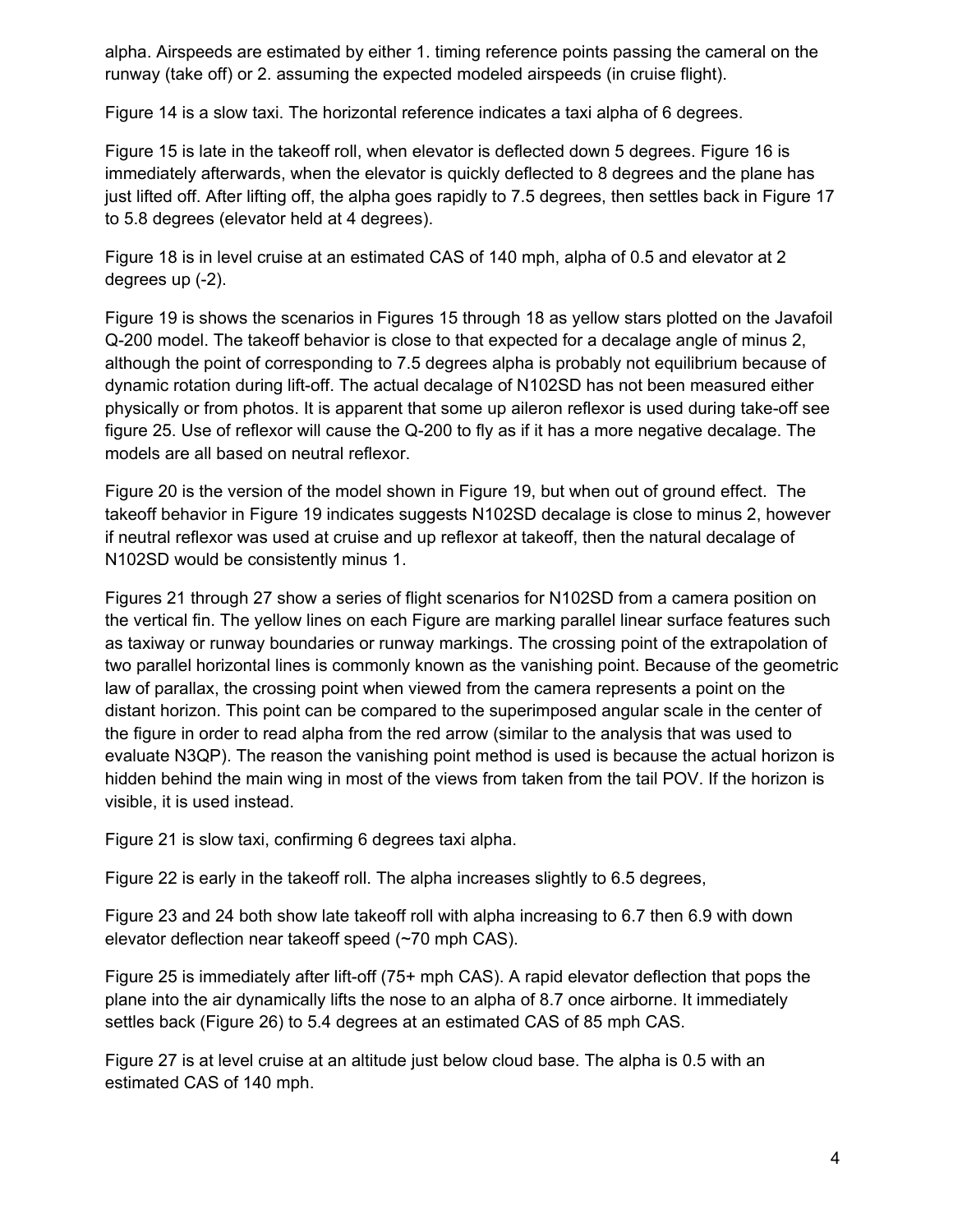alpha. Airspeeds are estimated by either 1. timing reference points passing the cameral on the runway (take off) or 2. assuming the expected modeled airspeeds (in cruise flight).

Figure 14 is a slow taxi. The horizontal reference indicates a taxi alpha of 6 degrees.

Figure 15 is late in the takeoff roll, when elevator is deflected down 5 degrees. Figure 16 is immediately afterwards, when the elevator is quickly deflected to 8 degrees and the plane has just lifted off. After lifting off, the alpha goes rapidly to 7.5 degrees, then settles back in Figure 17 to 5.8 degrees (elevator held at 4 degrees).

Figure 18 is in level cruise at an estimated CAS of 140 mph, alpha of 0.5 and elevator at 2 degrees up (-2).

Figure 19 is shows the scenarios in Figures 15 through 18 as yellow stars plotted on the Javafoil Q-200 model. The takeoff behavior is close to that expected for a decalage angle of minus 2, although the point of corresponding to 7.5 degrees alpha is probably not equilibrium because of dynamic rotation during lift-off. The actual decalage of N102SD has not been measured either physically or from photos. It is apparent that some up aileron reflexor is used during take-off see figure 25. Use of reflexor will cause the Q-200 to fly as if it has a more negative decalage. The models are all based on neutral reflexor.

Figure 20 is the version of the model shown in Figure 19, but when out of ground effect. The takeoff behavior in Figure 19 indicates suggests N102SD decalage is close to minus 2, however if neutral reflexor was used at cruise and up reflexor at takeoff, then the natural decalage of N102SD would be consistently minus 1.

Figures 21 through 27 show a series of flight scenarios for N102SD from a camera position on the vertical fin. The yellow lines on each Figure are marking parallel linear surface features such as taxiway or runway boundaries or runway markings. The crossing point of the extrapolation of two parallel horizontal lines is commonly known as the vanishing point. Because of the geometric law of parallax, the crossing point when viewed from the camera represents a point on the distant horizon. This point can be compared to the superimposed angular scale in the center of the figure in order to read alpha from the red arrow (similar to the analysis that was used to evaluate N3QP). The reason the vanishing point method is used is because the actual horizon is hidden behind the main wing in most of the views from taken from the tail POV. If the horizon is visible, it is used instead.

Figure 21 is slow taxi, confirming 6 degrees taxi alpha.

Figure 22 is early in the takeoff roll. The alpha increases slightly to 6.5 degrees,

Figure 23 and 24 both show late takeoff roll with alpha increasing to 6.7 then 6.9 with down elevator deflection near takeoff speed (~70 mph CAS).

Figure 25 is immediately after lift-off (75+ mph CAS). A rapid elevator deflection that pops the plane into the air dynamically lifts the nose to an alpha of 8.7 once airborne. It immediately settles back (Figure 26) to 5.4 degrees at an estimated CAS of 85 mph CAS.

Figure 27 is at level cruise at an altitude just below cloud base. The alpha is 0.5 with an estimated CAS of 140 mph.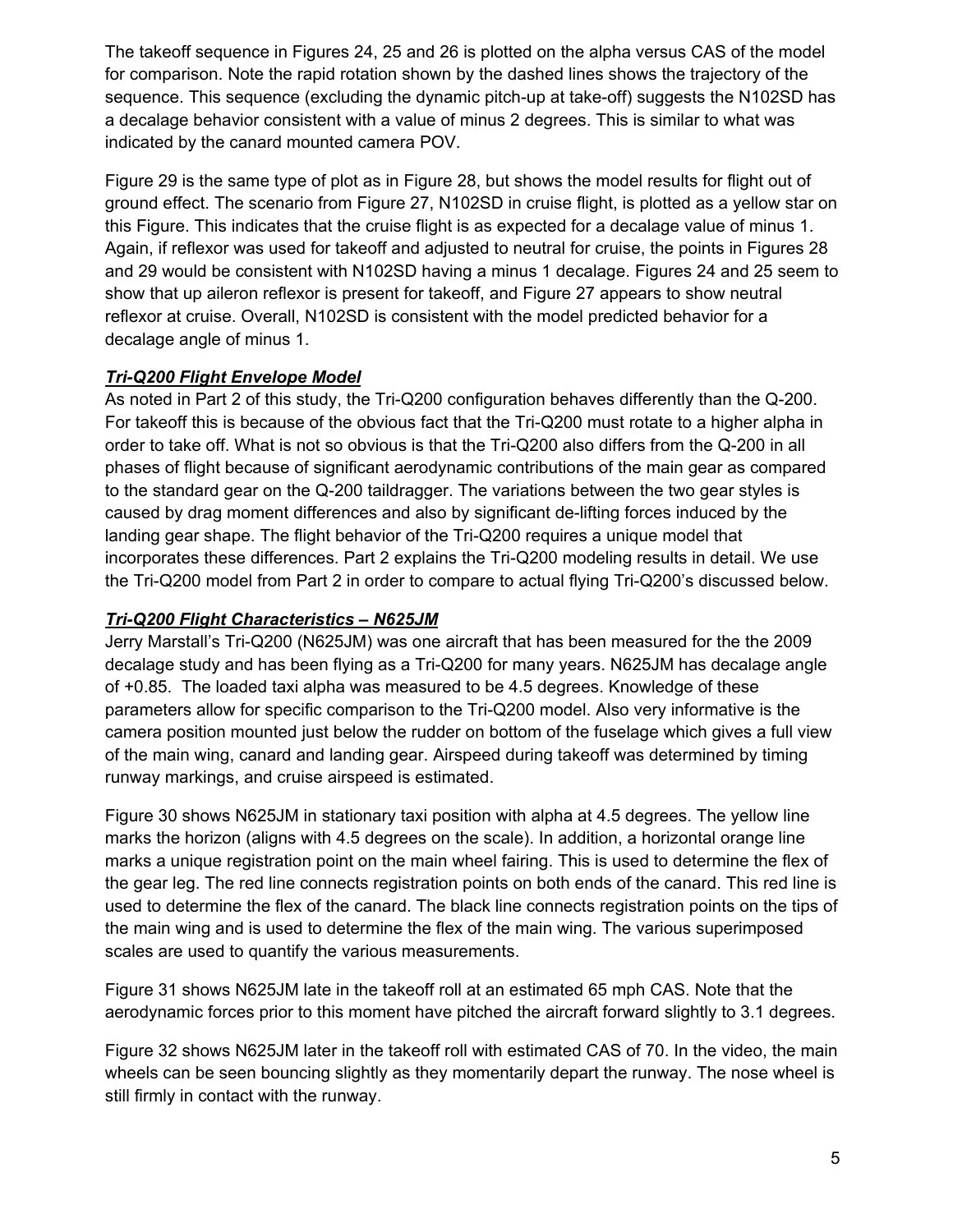The takeoff sequence in Figures 24, 25 and 26 is plotted on the alpha versus CAS of the model for comparison. Note the rapid rotation shown by the dashed lines shows the trajectory of the sequence. This sequence (excluding the dynamic pitch-up at take-off) suggests the N102SD has a decalage behavior consistent with a value of minus 2 degrees. This is similar to what was indicated by the canard mounted camera POV.

Figure 29 is the same type of plot as in Figure 28, but shows the model results for flight out of ground effect. The scenario from Figure 27, N102SD in cruise flight, is plotted as a yellow star on this Figure. This indicates that the cruise flight is as expected for a decalage value of minus 1. Again, if reflexor was used for takeoff and adjusted to neutral for cruise, the points in Figures 28 and 29 would be consistent with N102SD having a minus 1 decalage. Figures 24 and 25 seem to show that up aileron reflexor is present for takeoff, and Figure 27 appears to show neutral reflexor at cruise. Overall, N102SD is consistent with the model predicted behavior for a decalage angle of minus 1.

## *Tri-Q200 Flight Envelope Model*

As noted in Part 2 of this study, the Tri-Q200 configuration behaves differently than the Q-200. For takeoff this is because of the obvious fact that the Tri-Q200 must rotate to a higher alpha in order to take off. What is not so obvious is that the Tri-Q200 also differs from the Q-200 in all phases of flight because of significant aerodynamic contributions of the main gear as compared to the standard gear on the Q-200 taildragger. The variations between the two gear styles is caused by drag moment differences and also by significant de-lifting forces induced by the landing gear shape. The flight behavior of the Tri-Q200 requires a unique model that incorporates these differences. Part 2 explains the Tri-Q200 modeling results in detail. We use the Tri-Q200 model from Part 2 in order to compare to actual flying Tri-Q200's discussed below.

## *Tri-Q200 Flight Characteristics – N625JM*

Jerry Marstall's Tri-Q200 (N625JM) was one aircraft that has been measured for the the 2009 decalage study and has been flying as a Tri-Q200 for many years. N625JM has decalage angle of +0.85. The loaded taxi alpha was measured to be 4.5 degrees. Knowledge of these parameters allow for specific comparison to the Tri-Q200 model. Also very informative is the camera position mounted just below the rudder on bottom of the fuselage which gives a full view of the main wing, canard and landing gear. Airspeed during takeoff was determined by timing runway markings, and cruise airspeed is estimated.

Figure 30 shows N625JM in stationary taxi position with alpha at 4.5 degrees. The yellow line marks the horizon (aligns with 4.5 degrees on the scale). In addition, a horizontal orange line marks a unique registration point on the main wheel fairing. This is used to determine the flex of the gear leg. The red line connects registration points on both ends of the canard. This red line is used to determine the flex of the canard. The black line connects registration points on the tips of the main wing and is used to determine the flex of the main wing. The various superimposed scales are used to quantify the various measurements.

Figure 31 shows N625JM late in the takeoff roll at an estimated 65 mph CAS. Note that the aerodynamic forces prior to this moment have pitched the aircraft forward slightly to 3.1 degrees.

Figure 32 shows N625JM later in the takeoff roll with estimated CAS of 70. In the video, the main wheels can be seen bouncing slightly as they momentarily depart the runway. The nose wheel is still firmly in contact with the runway.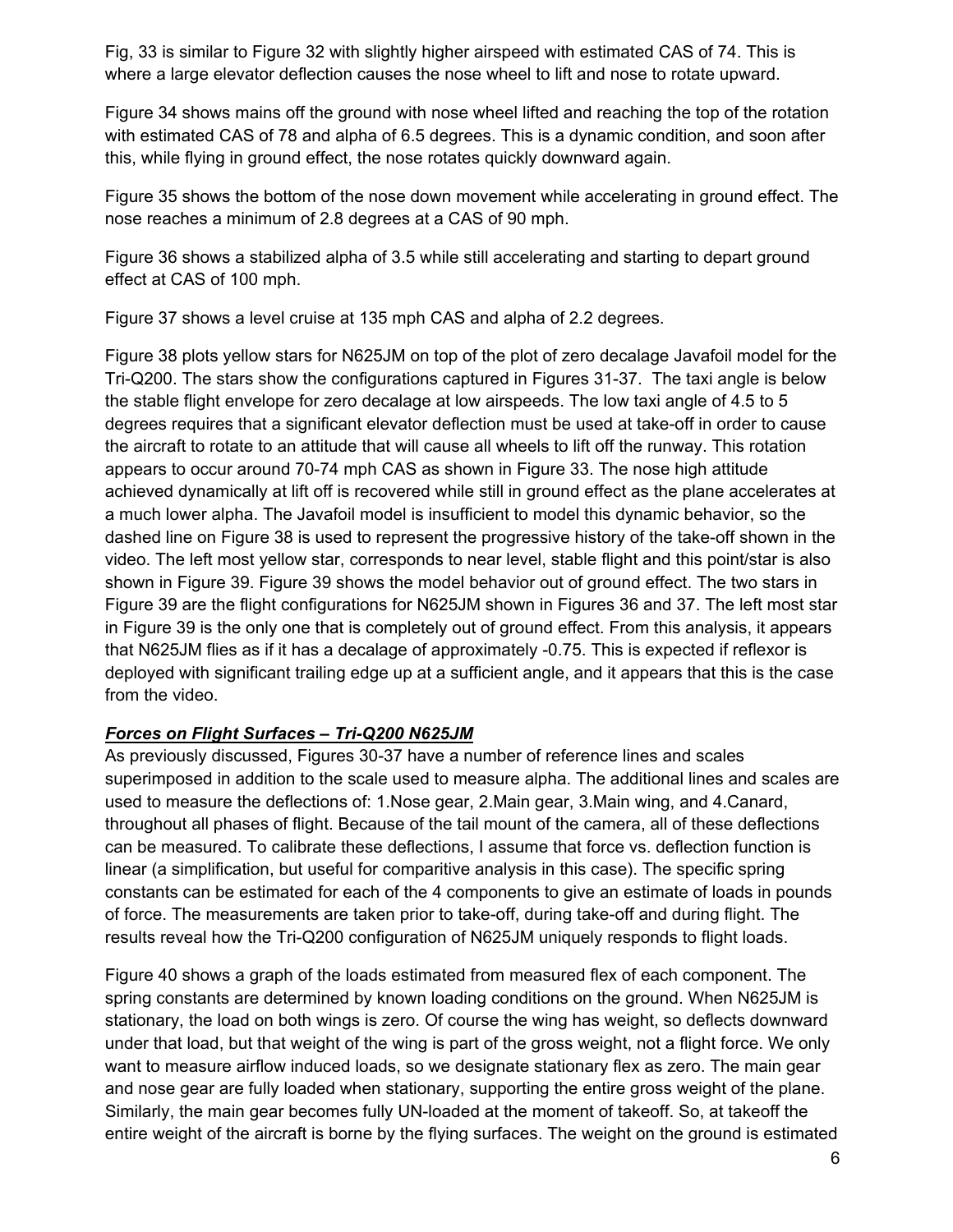Fig, 33 is similar to Figure 32 with slightly higher airspeed with estimated CAS of 74. This is where a large elevator deflection causes the nose wheel to lift and nose to rotate upward.

Figure 34 shows mains off the ground with nose wheel lifted and reaching the top of the rotation with estimated CAS of 78 and alpha of 6.5 degrees. This is a dynamic condition, and soon after this, while flying in ground effect, the nose rotates quickly downward again.

Figure 35 shows the bottom of the nose down movement while accelerating in ground effect. The nose reaches a minimum of 2.8 degrees at a CAS of 90 mph.

Figure 36 shows a stabilized alpha of 3.5 while still accelerating and starting to depart ground effect at CAS of 100 mph.

Figure 37 shows a level cruise at 135 mph CAS and alpha of 2.2 degrees.

Figure 38 plots yellow stars for N625JM on top of the plot of zero decalage Javafoil model for the Tri-Q200. The stars show the configurations captured in Figures 31-37. The taxi angle is below the stable flight envelope for zero decalage at low airspeeds. The low taxi angle of 4.5 to 5 degrees requires that a significant elevator deflection must be used at take-off in order to cause the aircraft to rotate to an attitude that will cause all wheels to lift off the runway. This rotation appears to occur around 70-74 mph CAS as shown in Figure 33. The nose high attitude achieved dynamically at lift off is recovered while still in ground effect as the plane accelerates at a much lower alpha. The Javafoil model is insufficient to model this dynamic behavior, so the dashed line on Figure 38 is used to represent the progressive history of the take-off shown in the video. The left most yellow star, corresponds to near level, stable flight and this point/star is also shown in Figure 39. Figure 39 shows the model behavior out of ground effect. The two stars in Figure 39 are the flight configurations for N625JM shown in Figures 36 and 37. The left most star in Figure 39 is the only one that is completely out of ground effect. From this analysis, it appears that N625JM flies as if it has a decalage of approximately -0.75. This is expected if reflexor is deployed with significant trailing edge up at a sufficient angle, and it appears that this is the case from the video.

#### *Forces on Flight Surfaces – Tri-Q200 N625JM*

As previously discussed, Figures 30-37 have a number of reference lines and scales superimposed in addition to the scale used to measure alpha. The additional lines and scales are used to measure the deflections of: 1.Nose gear, 2.Main gear, 3.Main wing, and 4.Canard, throughout all phases of flight. Because of the tail mount of the camera, all of these deflections can be measured. To calibrate these deflections, I assume that force vs. deflection function is linear (a simplification, but useful for comparitive analysis in this case). The specific spring constants can be estimated for each of the 4 components to give an estimate of loads in pounds of force. The measurements are taken prior to take-off, during take-off and during flight. The results reveal how the Tri-Q200 configuration of N625JM uniquely responds to flight loads.

Figure 40 shows a graph of the loads estimated from measured flex of each component. The spring constants are determined by known loading conditions on the ground. When N625JM is stationary, the load on both wings is zero. Of course the wing has weight, so deflects downward under that load, but that weight of the wing is part of the gross weight, not a flight force. We only want to measure airflow induced loads, so we designate stationary flex as zero. The main gear and nose gear are fully loaded when stationary, supporting the entire gross weight of the plane. Similarly, the main gear becomes fully UN-loaded at the moment of takeoff. So, at takeoff the entire weight of the aircraft is borne by the flying surfaces. The weight on the ground is estimated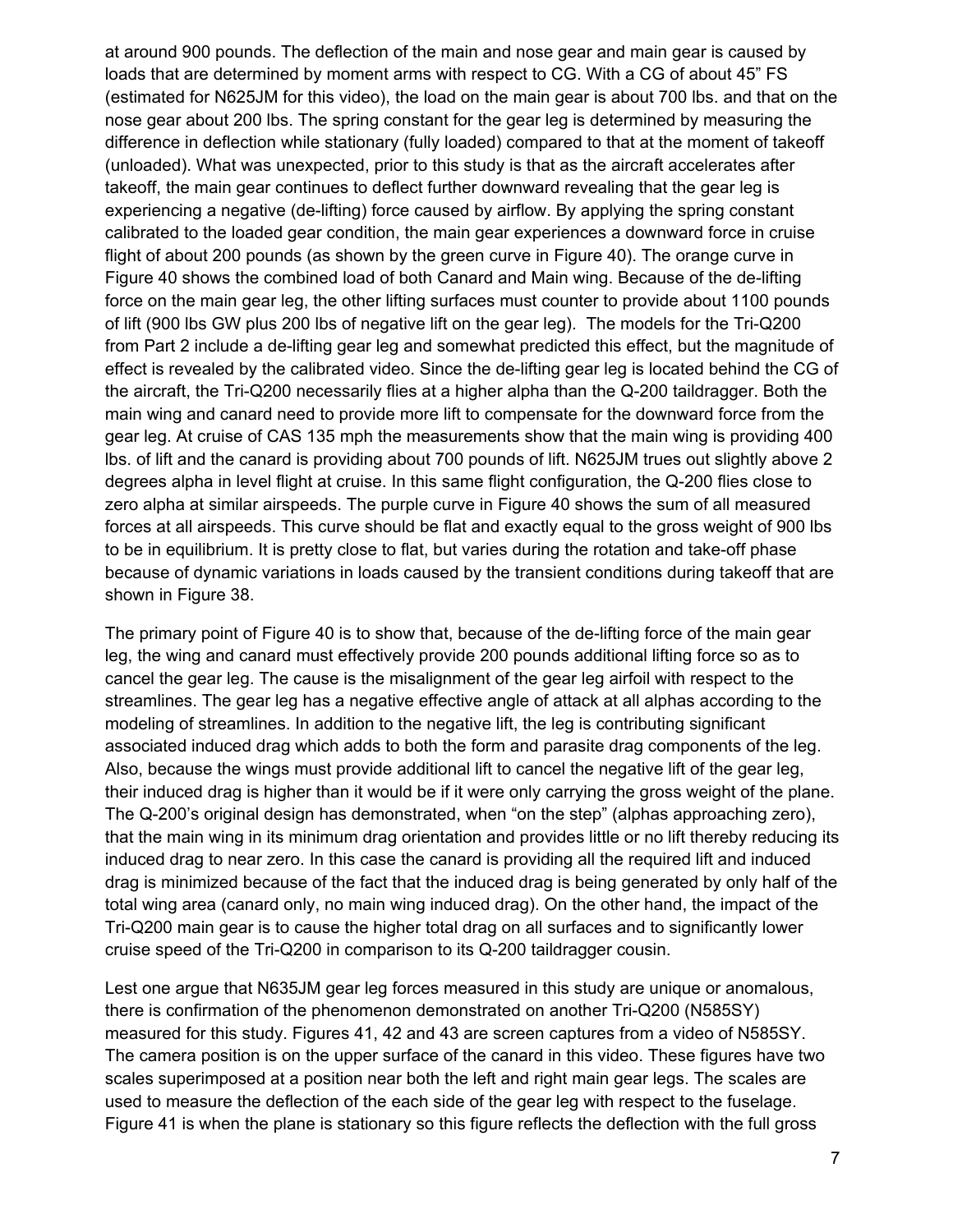at around 900 pounds. The deflection of the main and nose gear and main gear is caused by loads that are determined by moment arms with respect to CG. With a CG of about 45" FS (estimated for N625JM for this video), the load on the main gear is about 700 lbs. and that on the nose gear about 200 lbs. The spring constant for the gear leg is determined by measuring the difference in deflection while stationary (fully loaded) compared to that at the moment of takeoff (unloaded). What was unexpected, prior to this study is that as the aircraft accelerates after takeoff, the main gear continues to deflect further downward revealing that the gear leg is experiencing a negative (de-lifting) force caused by airflow. By applying the spring constant calibrated to the loaded gear condition, the main gear experiences a downward force in cruise flight of about 200 pounds (as shown by the green curve in Figure 40). The orange curve in Figure 40 shows the combined load of both Canard and Main wing. Because of the de-lifting force on the main gear leg, the other lifting surfaces must counter to provide about 1100 pounds of lift (900 lbs GW plus 200 lbs of negative lift on the gear leg). The models for the Tri-Q200 from Part 2 include a de-lifting gear leg and somewhat predicted this effect, but the magnitude of effect is revealed by the calibrated video. Since the de-lifting gear leg is located behind the CG of the aircraft, the Tri-Q200 necessarily flies at a higher alpha than the Q-200 taildragger. Both the main wing and canard need to provide more lift to compensate for the downward force from the gear leg. At cruise of CAS 135 mph the measurements show that the main wing is providing 400 lbs. of lift and the canard is providing about 700 pounds of lift. N625JM trues out slightly above 2 degrees alpha in level flight at cruise. In this same flight configuration, the Q-200 flies close to zero alpha at similar airspeeds. The purple curve in Figure 40 shows the sum of all measured forces at all airspeeds. This curve should be flat and exactly equal to the gross weight of 900 lbs to be in equilibrium. It is pretty close to flat, but varies during the rotation and take-off phase because of dynamic variations in loads caused by the transient conditions during takeoff that are shown in Figure 38.

The primary point of Figure 40 is to show that, because of the de-lifting force of the main gear leg, the wing and canard must effectively provide 200 pounds additional lifting force so as to cancel the gear leg. The cause is the misalignment of the gear leg airfoil with respect to the streamlines. The gear leg has a negative effective angle of attack at all alphas according to the modeling of streamlines. In addition to the negative lift, the leg is contributing significant associated induced drag which adds to both the form and parasite drag components of the leg. Also, because the wings must provide additional lift to cancel the negative lift of the gear leg, their induced drag is higher than it would be if it were only carrying the gross weight of the plane. The Q-200's original design has demonstrated, when "on the step" (alphas approaching zero), that the main wing in its minimum drag orientation and provides little or no lift thereby reducing its induced drag to near zero. In this case the canard is providing all the required lift and induced drag is minimized because of the fact that the induced drag is being generated by only half of the total wing area (canard only, no main wing induced drag). On the other hand, the impact of the Tri-Q200 main gear is to cause the higher total drag on all surfaces and to significantly lower cruise speed of the Tri-Q200 in comparison to its Q-200 taildragger cousin.

Lest one argue that N635JM gear leg forces measured in this study are unique or anomalous, there is confirmation of the phenomenon demonstrated on another Tri-Q200 (N585SY) measured for this study. Figures 41, 42 and 43 are screen captures from a video of N585SY. The camera position is on the upper surface of the canard in this video. These figures have two scales superimposed at a position near both the left and right main gear legs. The scales are used to measure the deflection of the each side of the gear leg with respect to the fuselage. Figure 41 is when the plane is stationary so this figure reflects the deflection with the full gross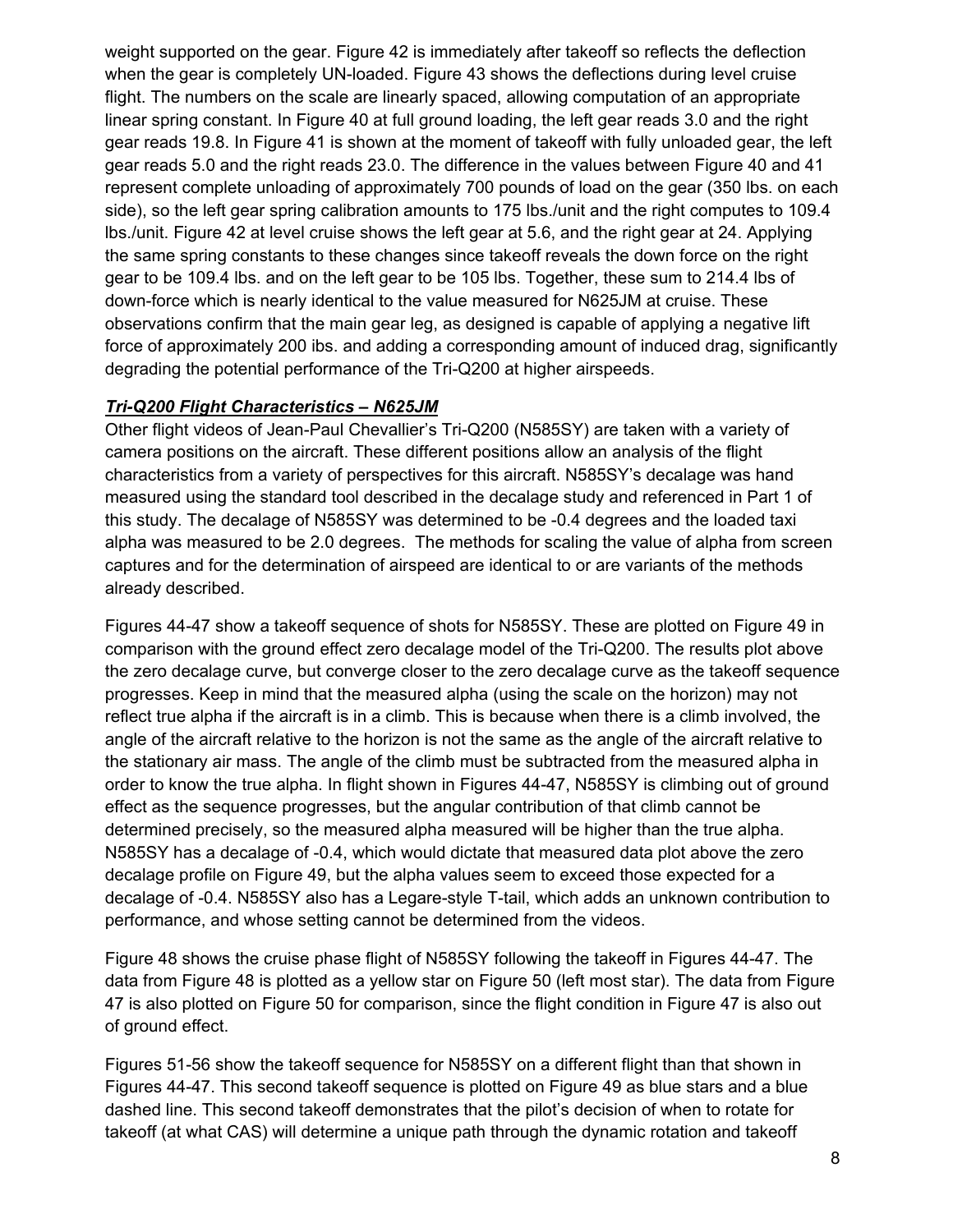weight supported on the gear. Figure 42 is immediately after takeoff so reflects the deflection when the gear is completely UN-loaded. Figure 43 shows the deflections during level cruise flight. The numbers on the scale are linearly spaced, allowing computation of an appropriate linear spring constant. In Figure 40 at full ground loading, the left gear reads 3.0 and the right gear reads 19.8. In Figure 41 is shown at the moment of takeoff with fully unloaded gear, the left gear reads 5.0 and the right reads 23.0. The difference in the values between Figure 40 and 41 represent complete unloading of approximately 700 pounds of load on the gear (350 lbs. on each side), so the left gear spring calibration amounts to 175 lbs./unit and the right computes to 109.4 lbs./unit. Figure 42 at level cruise shows the left gear at 5.6, and the right gear at 24. Applying the same spring constants to these changes since takeoff reveals the down force on the right gear to be 109.4 lbs. and on the left gear to be 105 lbs. Together, these sum to 214.4 lbs of down-force which is nearly identical to the value measured for N625JM at cruise. These observations confirm that the main gear leg, as designed is capable of applying a negative lift force of approximately 200 ibs. and adding a corresponding amount of induced drag, significantly degrading the potential performance of the Tri-Q200 at higher airspeeds.

#### *Tri-Q200 Flight Characteristics – N625JM*

Other flight videos of Jean-Paul Chevallier's Tri-Q200 (N585SY) are taken with a variety of camera positions on the aircraft. These different positions allow an analysis of the flight characteristics from a variety of perspectives for this aircraft. N585SY's decalage was hand measured using the standard tool described in the decalage study and referenced in Part 1 of this study. The decalage of N585SY was determined to be -0.4 degrees and the loaded taxi alpha was measured to be 2.0 degrees. The methods for scaling the value of alpha from screen captures and for the determination of airspeed are identical to or are variants of the methods already described.

Figures 44-47 show a takeoff sequence of shots for N585SY. These are plotted on Figure 49 in comparison with the ground effect zero decalage model of the Tri-Q200. The results plot above the zero decalage curve, but converge closer to the zero decalage curve as the takeoff sequence progresses. Keep in mind that the measured alpha (using the scale on the horizon) may not reflect true alpha if the aircraft is in a climb. This is because when there is a climb involved, the angle of the aircraft relative to the horizon is not the same as the angle of the aircraft relative to the stationary air mass. The angle of the climb must be subtracted from the measured alpha in order to know the true alpha. In flight shown in Figures 44-47, N585SY is climbing out of ground effect as the sequence progresses, but the angular contribution of that climb cannot be determined precisely, so the measured alpha measured will be higher than the true alpha. N585SY has a decalage of -0.4, which would dictate that measured data plot above the zero decalage profile on Figure 49, but the alpha values seem to exceed those expected for a decalage of -0.4. N585SY also has a Legare-style T-tail, which adds an unknown contribution to performance, and whose setting cannot be determined from the videos.

Figure 48 shows the cruise phase flight of N585SY following the takeoff in Figures 44-47. The data from Figure 48 is plotted as a yellow star on Figure 50 (left most star). The data from Figure 47 is also plotted on Figure 50 for comparison, since the flight condition in Figure 47 is also out of ground effect.

Figures 51-56 show the takeoff sequence for N585SY on a different flight than that shown in Figures 44-47. This second takeoff sequence is plotted on Figure 49 as blue stars and a blue dashed line. This second takeoff demonstrates that the pilot's decision of when to rotate for takeoff (at what CAS) will determine a unique path through the dynamic rotation and takeoff